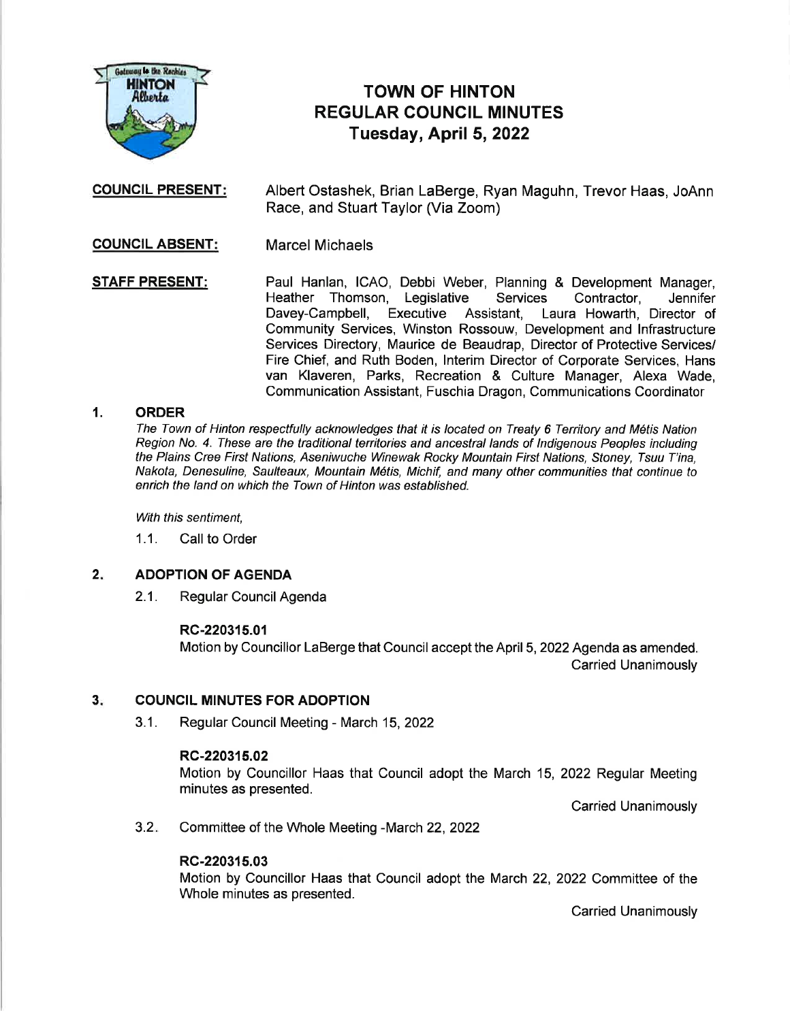

# TOWN OF HINTON REGULAR COUNCIL MINUTES Tuesday, April 5,2022

**COUNCIL PRESENT:** Albert Ostashek, Brian LaBerge, Ryan Maguhn, Trevor Haas, JoAnn Race, and Stuart Taylor (Via Zoom)

**COUNCIL ABSENT:** Marcel Michaels

STAFF PRESENT: Paul Hanlan, ICAO, Debbi Weber, Planning & Development Manager,<br>Heather Thomson, Legislative Services Contractor, Jennifer Heather Thomson, Legislative Services Contractor, Jennifer<br>Davey-Campbell, Executive Assistant, Laura Howarth Director of Executive Assistant, Laura Howarth, Director of Community Services, Winston Rossouw, Development and lnfrastructure Services Directory, Maurice de Beaudrap, Director of Protective Services/ Fire Chief, and Ruth Boden, lnterim Director of Corporate Services, Hans van Klaveren, Parks, Recreation & Culture Manager, Alexa Wade, Communication Assistant, Fuschia Dragon, Communications Coordinator

## 1. ORDER

The Town of Hinton respectfully acknowledges that it is located on Treaty 6 Territory and M6tis Nation Region No. 4. These are the traditional tenitories and ancestral lands of lndigenous Peoples including the Plains Cree First Nations, Aseniwuche Winewak Rocky Mountain First Nations, Stoney, Tsuu T'ina, Nakota, Denesuline, Saulteaux, Mountain M6tis, Michif, and many other communities that continue to enrich the land on which the Town of Hinton was established.

With this sentiment,

1.1. Call to Order

### ADOPTION OF AGENDA  $2.$

2.1. Regular Council Agenda

### RC-220315.01

Motion by Councillor LaBerge that Council accept the April 5,2022 Agenda as amended. Carried Unanimously

### COUNCIL MINUTES FOR ADOPTION  $3<sub>i</sub>$

3.1. Regular Council Meeting - March 15,2022

### RC-220315.02

Motion by Councillor Haas that Council adopt the March 15, 2022 Regular Meeting minutes as presented.

Carried Unanimously

Committee of the Whole Meeting -March 22, 2022  $3.2.$ 

## RC-220315.03

Motion by Councillor Haas that Council adopt the March 22, 2022 Committee of the Whole minutes as presented.

Carried Unanimously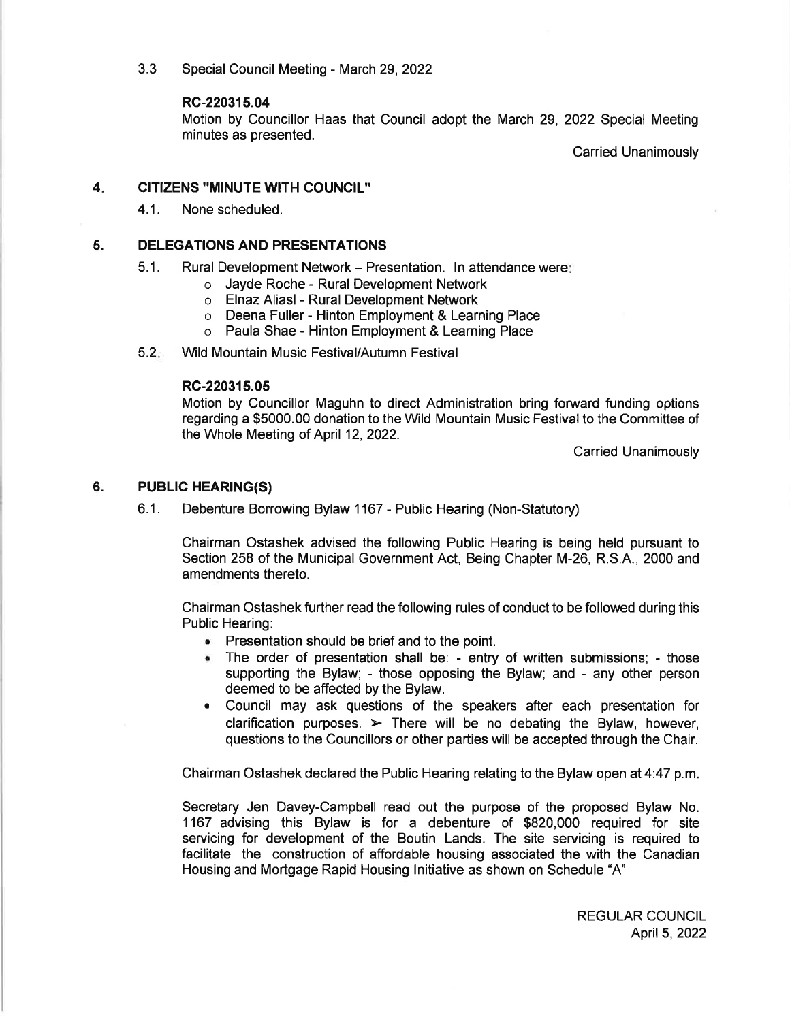3.3 Special Council Meeting - March 29, 2022

## RC-220315.04

Motion by Councillor Haas that Council adopt the March 29, 2022 Special Meeting minutes as presented.

Carried Unanimously

#### 4 CITIZENS "MINUTE WITH COUNCIL''

4.1. None scheduled.

#### 5. DELEGATIONS AND PRESENTATIONS

- 5.1. Rural Development Network Presentation. In attendance were:
	- o Jayde Roche Rural Development Network
	- o Elnaz Aliasl- Rural Development Network
	- o Deena Fuller Hinton Employment & Learning Place
	- o Paula Shae Hinton Employment & Learning Place

#### $5.2<sub>•</sub>$ Wild Mountain Music Festival/Autumn Festival

## RC-220315.05

Motion by Councillor Maguhn to direct Administration bring forward funding options regarding a \$5000.00 donation to the Wild Mountain Music Festival to the Committee of the Whole Meeting of April 12,2022.

Carried Unanimously

#### **PUBLIC HEARING(S)** 6.

6.1. Debenture Borrowing Bylaw 1167 - Public Hearing (Non-Statutory)

Chairman Ostashek advised the following Public Hearing is being held pursuant to Section 258 of the Municipal Government Act, Being Chapter M-26, R.S.A., 2000 and amendments thereto.

Chairman Ostashek further read the following rules of conduct to be followed during this Public Hearing:

- $\bullet$  Presentation should be brief and to the point.
- . The order of presentation shall be: entry of written submissions; those supporting the Bylaw; - those opposing the Bylaw; and - any other person deemed to be affected by the Bylaw.
- . Council may ask questions of the speakers after each presentation for clarification purposes.  $\triangleright$  There will be no debating the Bylaw, however, questions to the Councillors or other parties will be accepted through the Chair.

Chairman Ostashek declared the Public Hearing relating to the Bylaw open at 4:47 p.m

Secretary Jen Davey-Campbell read out the purpose of the proposed Bylaw No. 1167 advising this Bylaw is for a debenture of \$820,000 required for site servicing for development of the Boutin Lands. The site servicing is required to facilitate the construction of affordable housing associated the with the Canadian Housing and Mortgage Rapid Housing lnitiative as shown on Schedule "A"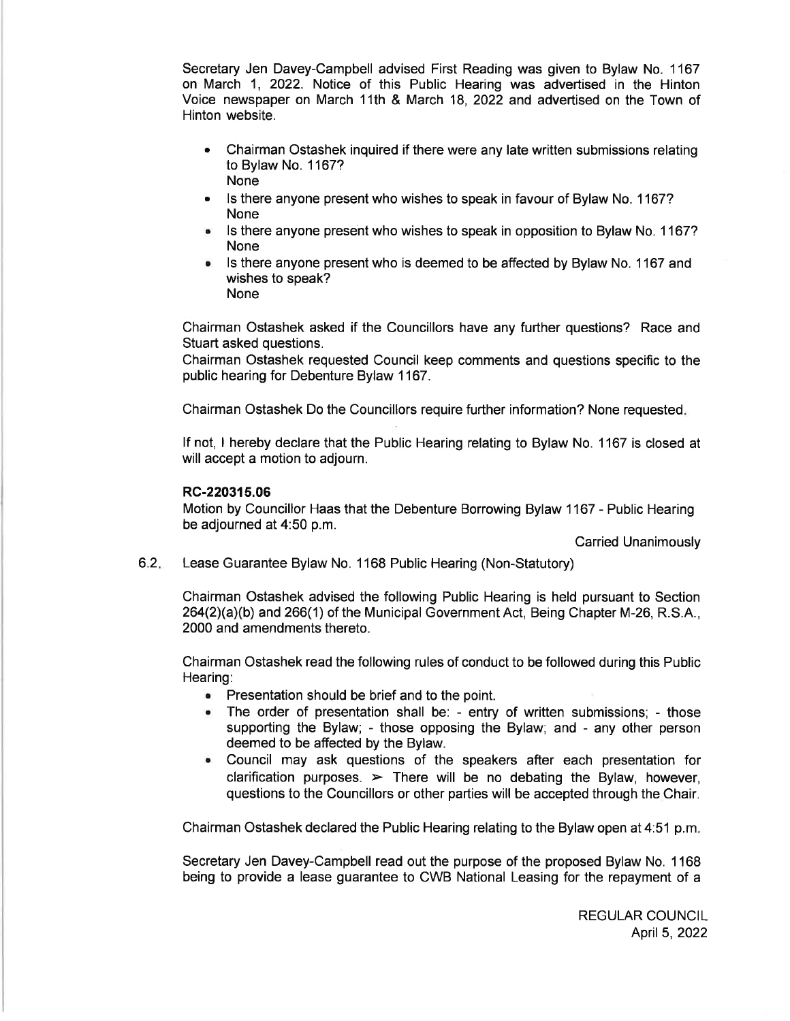Secretary Jen Davey-Campbell advised First Reading was given to Bylaw No. 1167 on March 1,2022. Notice of this Public Hearing was advertised in the Hinton Voice newspaper on March 11th & March 18, 2022 and advertised on the Town of Hinton website.

- Chairman Ostashek inquired if there were any late written submissions relating o to Bylaw No. 1167? **None**
- Is there anyone present who wishes to speak in favour of Bylaw No. 1167? None
- Is there anyone present who wishes to speak in opposition to Bylaw No. 1167? None
- Is there anyone present who is deemed to be affected by Bylaw No. 1167 and wishes to speak? None

Chairman Ostashek asked if the Councillors have any further questions? Race and Stuart asked questions.

Chairman Ostashek requested Council keep comments and questions specific to the public hearing for Debenture Bylaw 1167.

Chairman Ostashek Do the Councillors require further information? None requested

lf not, I hereby declare that the Public Hearing relating to Bylaw No. 1167 is closed at will accept a motion to adjourn.

## RC-220315.06

Motion by Councillor Haas that the Debenture Borrowing Bylaw 1167 - Public Hearing be adjourned at 4:50 p.m.

Carried Unanimously

Lease Guarantee Bylaw No. 1168 Public Hearing (Non-Statutory)  $6.2.$ 

> Chairman Ostashek advised the following Public Hearing is held pursuant to Section 264(2)(a)(b) and 266(1) of the Municipal Government Act, Being Chapter M-26, R.S.A., 2000 and amendments thereto.

> Chairman Ostashek read the following rules of conduct to be followed during this Public Hearing:

- . Presentation should be brief and to the point.
- . The order of presentation shall be: entry of written submissions; those supporting the Bylaw; - those opposing the Bylaw; and - any other person deemed to be affected by the Bylaw.
- . Council may ask questions of the speakers after each presentation for clarification purposes.  $\triangleright$  There will be no debating the Bylaw, however, questions to the Councillors or other parties will be accepted through the Chair.

Chairman Ostashek declared the Public Hearing relating to the Bylaw open at 4:51 p.m

Secretary Jen Davey-Campbell read out the purpose of the proposed Bylaw No. 1168 being to provide a lease guarantee to CWB National Leasing for the repayment of a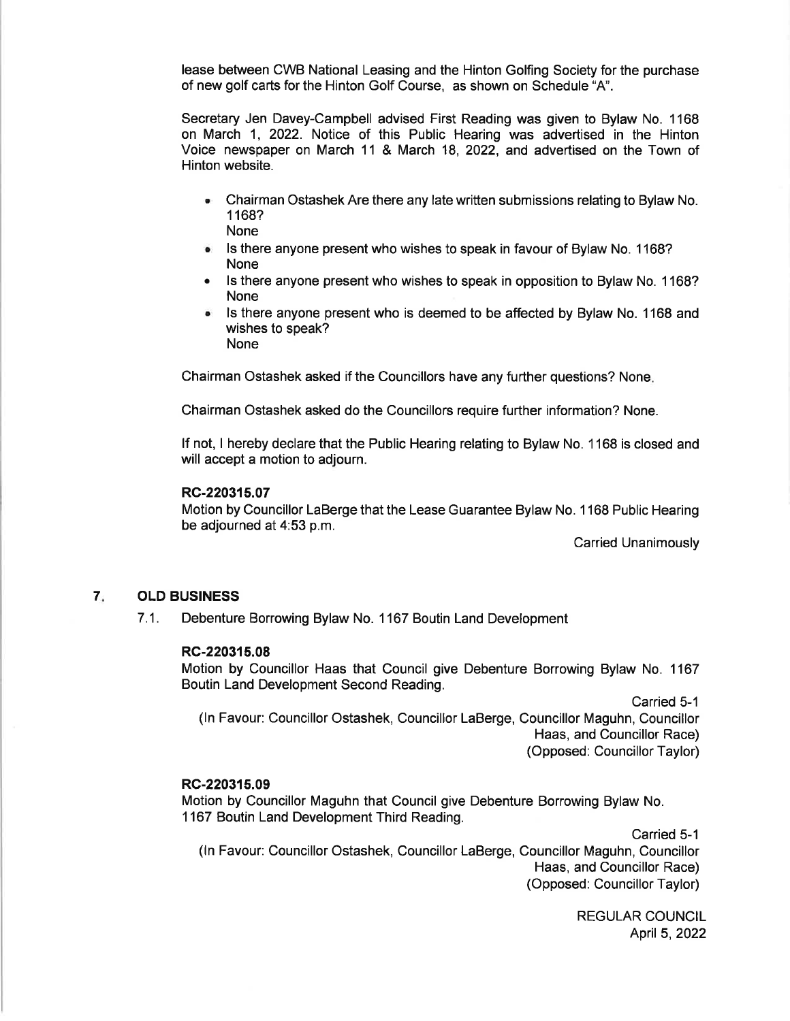lease between CWB National Leasing and the Hinton Golfing Society for the purchase of new golf carts for the Hinton Golf Course, as shown on Schedule "A".

Secretary Jen Davey-Campbell advised First Reading was given to Bylaw No. 1168 on March 1, 2022. Notice of this Public Hearing was advertised in the Hinton Voice newspaper on March 11 & March 18, 2022, and advertised on the Town of Hinton website.

- Chairman Ostashek Are there any late written submissions relating to Bylaw No. a <sup>1</sup>168? None
- Is there anyone present who wishes to speak in favour of Bylaw No. 1168? None
- Is there anyone present who wishes to speak in opposition to Bylaw No. 1168? None
- Is there anyone present who is deemed to be affected by Bylaw No. 1168 and wishes to speak? None

Chairman Ostashek asked if the Councillors have any further questions? None

Chairman Ostashek asked do the Councillors require further information? None.

lf not, I hereby declare that the Public Hearing relating to Bylaw No. 1168 is closed and will accept a motion to adjourn.

### RC-220315.07

Motion by Councillor LaBerge that the Lease Guarantee Bylaw No. 1 168 Public Hearing be adjourned at 4:53 p.m.

Carried Unanimously

## 7 OLD BUSINESS

7.1. Debenture Borrowing Bylaw No. 1 167 Boutin Land Development

### RC-220315.08

Motion by Councillor Haas that Council give Debenture Borrowing Bylaw No. 1167 Boutin Land Development Second Reading.

Carried 5-1 (ln Favour: Councillor Ostashek, Councillor LaBerge, Councillor Maguhn, Councillor Haas, and Councillor Race) (Opposed: Councillor Taylor)

### RG-2203{5.09

Motion by Councillor Maguhn that Council give Debenture Borrowing Bylaw No. 1167 Boutin Land Development Third Reading.

Carried 5-1 (ln Favour: Councillor Ostashek, Councillor LaBerge, Councillor Maguhn, Councillor Haas, and Councillor Race) (Opposed: Councillor Taylor)

> **REGULAR COUNCIL** April 5, 2022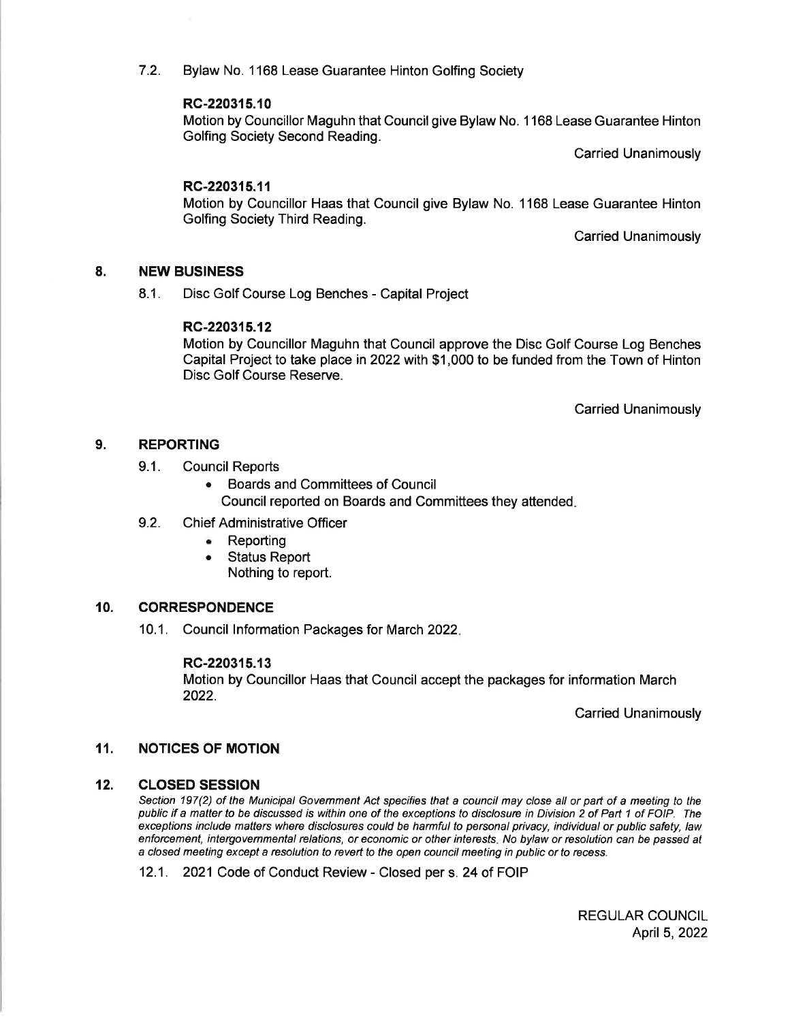7.2. Bylaw No. 1168 Lease Guarantee Hinton Golfing Society

## RC-220315.10

Motion by Councillor Maguhn that Council give Bylaw No. 1168 Lease Guarantee Hinton Golfing Society Second Reading.

Carried Unanimously

## RC-220315.11

Motion by Councillor Haas that Council give Bylaw No. 1168 Lease Guarantee Hinton Golfing Society Third Reading.

Carried Unanimously

## 8. NEW BUSINESS

8.1. Disc Golf Course Log Benches - Capital Project

## RC-220315.12

Motion by Councillor Maguhn that Council approve the Disc Golf Course Log Benches Capital Project to take place in 2022with \$1,000 to be funded from the Town of Hinton Disc Golf Course Reserve.

Carried Unanimously

## 9. REPORTING

- 9.1. Council Reports
	- Boards and Committees of Council
		- Council reported on Boards and Committees they attended
- 9.2. Chief Administrative Officer
	- . Reporting
	- . Status Report
		- Nothing to report.

## 10. CORRESPONDENCE

10.1. Council lnformation Packages for March 2O22

### RC-220315.13

Motion by Councillor Haas that Council accept the packages for information March 2022.

Carried Unanimously

### 11. NOTICES OF MOTION

#### CLOSED SESSION 12.

Section 197(2) of the Municipal Government Act specifies that a council may close all or part of a meeting to the public if a matter to be discussed is within one of the exceptions to disclosure in Division 2 of Part 1 of FOIP. The exceptions include matters where disclosures could be harmful to personal privacy, individual or public safety, law enforcement, intergovernmental relations, or economic or other interesfs. No bylaw or resolution can be passed at a closed meeting except a resolution to reverl to the open council meeting in public or fo recess.

12.1. 2021 Code of Conduct Review - Closed per s. 24 of FOIP